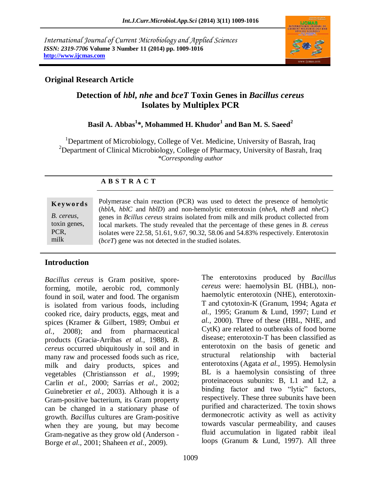*International Journal of Current Microbiology and Applied Sciences ISSN: 2319-7706* **Volume 3 Number 11 (2014) pp. 1009-1016 http://www.ijcmas.com** 



## **Original Research Article**

# **Detection of** *hbl***,** *nhe* **and** *bceT* **Toxin Genes in** *Bacillus cereus*  **Isolates by Multiplex PCR**

## **Basil A. Abbas<sup>1</sup> \*, Mohammed H. Khudor<sup>1</sup> and Ban M. S. Saeed<sup>2</sup>**

<sup>1</sup>Department of Microbiology, College of Vet. Medicine, University of Basrah, Iraq <sup>2</sup>Department of Clinical Microbiology, College of Pharmacy, University of Basrah, Iraq *\*Corresponding author* 

### **A B S T R A C T**

**K ey w o rd s** *B. cereus*, toxin genes, PCR, milk

Polymerase chain reaction (PCR) was used to detect the presence of hemolytic (*hblA*, *hblC* and *hblD*) and non-hemolytic enterotoxin (*nheA*, *nheB* and *nheC*) genes in *Bcillus cereus* strains isolated from milk and milk product collected from local markets. The study revealed that the percentage of these genes in *B. cereus* isolates were 22.58, 51.61, 9.67, 90.32, 58.06 and 54.83% respectively. Enterotoxin (*bceT*) gene was not detected in the studied isolates.

## **Introduction**

*Bacillus cereus* is Gram positive, sporeforming, motile, aerobic rod, commonly found in soil, water and food. The organism is isolated from various foods, including cooked rice, dairy products, eggs, meat and spices (Kramer & Gilbert, 1989; Ombui *et al.,* 2008); and from pharmaceutical products (Gracia-Arribas *et al.,* 1988)**.** *B. cereus* occurred ubiquitously in soil and in many raw and processed foods such as rice, milk and dairy products, spices and vegetables (Christiansson *et al.,* 1999; Carlin *et al.,* 2000; Sarrías *et al.,* 2002; Guinebretier *et al.,* 2003). Although it is a Gram-positive bacterium, its Gram property can be changed in a stationary phase of growth. *Bacillus* cultures are Gram-positive when they are young, but may become Gram-negative as they grow old (Anderson - Borge *et al.,* 2001; Shaheen *et al.,* 2009).

The enterotoxins produced by *Bacillus cereus* were: haemolysin BL (HBL), nonhaemolytic enterotoxin (NHE), enterotoxin-T and cytotoxin-K (Granum, 1994; Agata *et al.,* 1995; Granum & Lund, 1997; Lund *et al.,* 2000). Three of these (HBL, NHE, and CytK) are related to outbreaks of food borne disease; enterotoxin-T has been classified as enterotoxin on the basis of genetic and structural relationship with bacterial enterotoxins (Agata *et al.,* 1995). Hemolysin BL is a haemolysin consisting of three proteinaceous subunits: B, L1 and L2, a binding factor and two "lytic" factors, respectively. These three subunits have been purified and characterized. The toxin shows dermonecrotic activity as well as activity towards vascular permeability, and causes fluid accumulation in ligated rabbit ileal loops (Granum & Lund, 1997). All three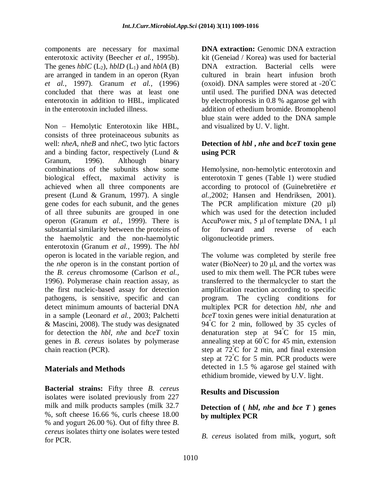components are necessary for maximal enterotoxic activity (Beecher *et al.,* 1995b). The genes  $hblC$  (L<sub>2</sub>),  $hblD$  (L<sub>1</sub>) and  $hblA$  (B) are arranged in tandem in an operon (Ryan *et al.,* 1997). Granum *et al.,* (1996) concluded that there was at least one enterotoxin in addition to HBL, implicated in the enterotoxin included illness.

Non – Hemolytic Enterotoxin like HBL, consists of three proteinaceous subunits as well: *nheA*, *nheB* and *nheC,* two lytic factors and a binding factor, respectively (Lund & Granum, 1996). Although binary combinations of the subunits show some biological effect, maximal activity is achieved when all three components are present (Lund & Granum, 1997). A single gene codes for each subunit, and the genes of all three subunits are grouped in one operon (Granum *et al.,* 1999). There is substantial similarity between the proteins of the haemolytic and the non-haemolytic enterotoxin (Granum *et al.,* 1999). The *hbl* operon is located in the variable region, and the *nhe* operon is in the constant portion of the *B. cereus* chromosome (Carlson *et al.,*  1996). Polymerase chain reaction assay, as the first nucleic-based assay for detection pathogens, is sensitive, specific and can detect minimum amounts of bacterial DNA in a sample (Leonard *et al.,* 2003; Palchetti & Mascini, 2008). The study was designated for detection the *hbl*, *nhe* and *bceT* toxin genes in *B. cereus* isolates by polymerase chain reaction (PCR).

# **Materials and Methods**

**Bacterial strains:** Fifty three *B. cereus*  isolates were isolated previously from 227 milk and milk products samples (milk 32.7 %, soft cheese 16.66 %, curls cheese 18.00 % and yogurt 26.00 %). Out of fifty three *B. cereus* isolates thirty one isolates were tested for PCR.

**DNA extraction:** Genomic DNA extraction kit (Geneiad / Korea) was used for bacterial DNA extraction. Bacterial cells were cultured in brain heart infusion broth (oxoid). DNA samples were stored at  $-20^{\circ}$ C until used. The purified DNA was detected by electrophoresis in 0.8 % agarose gel with addition of ethedium bromide. Bromophenol blue stain were added to the DNA sample and visualized by U. V. light.

### **Detection of** *hbl* **,** *nhe* **and** *bceT* **toxin gene using PCR**

Hemolysine, non-hemolytic enterotoxin and enterotoxin T genes (Table 1) were studied according to protocol of (Guinebretière *et al.,*2002; Hansen and Hendriksen, 2001). The PCR amplification mixture (20 µl) which was used for the detection included AccuPower mix, 5 μl of template DNA, 1 μl for forward and reverse of each oligonucleotide primers.

The volume was completed by sterile free water (BioNeer) to 20 μl, and the vortex was used to mix them well. The PCR tubes were transferred to the thermalcycler to start the amplification reaction according to specific program. The cycling conditions for multiplex PCR for detection *hbl, nhe* and *bceT* toxin genes were initial denaturation at 94°C for 2 min, followed by 35 cycles of denaturation step at 94°C for 15 min, annealing step at  $60^{\circ}$ C for 45 min, extension step at  $72^{\circ}$ C for 2 min, and final extension step at  $72^{\circ}$ C for 5 min. PCR products were detected in 1.5 % agarose gel stained with ethidium bromide, viewed by U.V. light.

## **Results and Discussion**

#### **Detection of (** *hbl***,** *nhe* **and** *bce T* **) genes by multiplex PCR**

*B. cereus* isolated from milk, yogurt, soft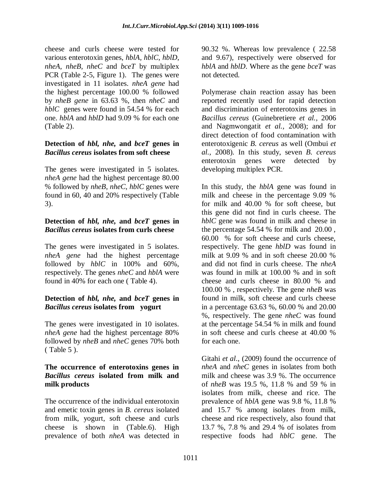cheese and curls cheese were tested for various enterotoxin genes, *hblA, hblC, hblD, nheA, nheB, nheC* and *bceT* by multiplex PCR (Table 2-5, Figure 1). The genes were investigated in 11 isolates. *nheA gene* had the highest percentage 100.00 % followed by *nheB gene* in 63.63 %, then *nheC* and *hblC* genes were found in 54.54 % for each one. *hblA* and *hblD* had 9.09 % for each one (Table 2).

### **Detection of** *hbl, nhe,* **and** *bceT* **genes in**  *Bacillus cereus* **isolates from soft cheese**

The genes were investigated in 5 isolates. *nheA gene* had the highest percentage 80.00 % followed by *nheB*, *nheC*, *hblC* genes were found in 60, 40 and 20% respectively (Table 3).

### **Detection of** *hbl, nhe,* **and** *bceT* **genes in**  *Bacillus cereus* **isolates from curls cheese**

The genes were investigated in 5 isolates. *nheA gene* had the highest percentage followed by *hblC* in 100% and 60%, respectively. The genes *nheC* and *hblA* were found in 40% for each one ( Table 4).

## **Detection of** *hbl, nhe,* **and** *bceT* **genes in**  *Bacillus cereus* **isolates from yogurt**

The genes were investigated in 10 isolates. *nheA gene* had the highest percentage 80% followed by *nheB* and *nheC* genes 70% both ( Table 5 ).

#### **The occurrence of enterotoxins genes in**  *Bacillus cereus* **isolated from milk and milk products**

The occurrence of the individual enterotoxin and emetic toxin genes in *B. cereus* isolated from milk, yogurt, soft cheese and curls cheese is shown in (Table.6). High prevalence of both *nheA* was detected in

90.32 %. Whereas low prevalence ( 22.58 and 9.67), respectively were observed for *hblA* and *hblD*. Where as the gene *bceT* was not detected.

Polymerase chain reaction assay has been reported recently used for rapid detection and discrimination of enterotoxins genes in *Bacillus cereus* (Guinebretiere *et al.,* 2006 and Nagmwongatit *et al.,* 2008); and for direct detection of food contamination with enterotoxigenic *B. cereus* as well (Ombui *et al.,* 2008). In this study, seven *B. cereus*  enterotoxin genes were detected by developing multiplex PCR.

In this study, the *hblA* gene was found in milk and cheese in the percentage 9.09 % for milk and 40.00 % for soft cheese, but this gene did not find in curls cheese. The *hblC* gene was found in milk and cheese in the percentage 54.54 % for milk and 20.00 , 60.00 % for soft cheese and curls cheese, respectively. The gene *hblD* was found in milk at 9.09 % and in soft cheese 20.00 % and did not find in curls cheese. The *nheA*  was found in milk at 100.00 % and in soft cheese and curls cheese in 80.00 % and 100.00 % , respectively. The gene *nheB* was found in milk, soft cheese and curls cheese in a percentage 63.63 %, 60.00 % and 20.00 %, respectively. The gene *nheC* was found at the percentage 54.54 % in milk and found in soft cheese and curls cheese at 40.00 % for each one.

Gitahi *et al*., (2009) found the occurrence of *nheA* and *nheC* genes in isolates from both milk and cheese was 3.9 %. The occurrence of *nheB* was 19.5 %, 11.8 % and 59 % in isolates from milk, cheese and rice. The prevalence of *hblA* gene was 9.8 %, 11.8 % and 15.7 % among isolates from milk, cheese and rice respectively, also found that 13.7 %, 7.8 % and 29.4 % of isolates from respective foods had *hblC* gene. The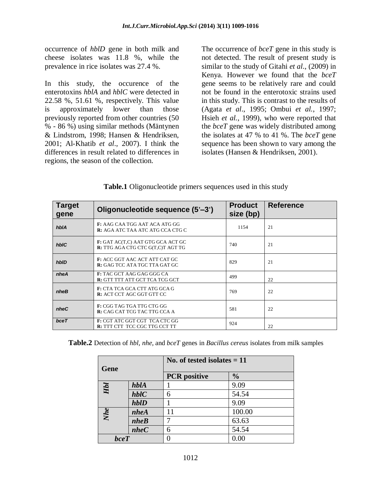occurrence of *hblD* gene in both milk and cheese isolates was 11.8 %, while the prevalence in rice isolates was 27.4 %.

In this study, the occurence of the enterotoxins *hblA* and *hblC* were detected in 22.58 %, 51.61 %, respectively. This value is approximately lower than those previously reported from other countries (50 % - 86 %) using similar methods (Mäntynen & Lindstrom, 1998; Hansen & Hendriksen, 2001; Al-Khatib *et al*., 2007). I think the differences in result related to differences in regions, the season of the collection.

The occurrence of *bceT* gene in this study is not detected. The result of present study is similar to the study of Gitahi *et al*., (2009) in Kenya. However we found that the *bceT* gene seems to be relatively rare and could not be found in the enterotoxic strains used in this study. This is contrast to the results of (Agata *et al*., 1995; Ombui *et al.*, 1997; Hsieh *et al.*, 1999), who were reported that the *bceT* gene was widely distributed among the isolates at 47 % to 41 %. The *bceT* gene sequence has been shown to vary among the isolates (Hansen & Hendriksen, 2001).

| <b>Target</b><br>gene | Oligonucleotide sequence (5'-3')                                                | <b>Product</b><br>size (bp) | <b>Reference</b> |
|-----------------------|---------------------------------------------------------------------------------|-----------------------------|------------------|
| hblA                  | <b>F:</b> AAG CAA TGG AAT ACA ATG GG<br><b>R:</b> AGA ATC TAA ATC ATG CCA CTG C | 1154                        | 21               |
| hbIC                  | F: GAT AC(T,C) AAT GTG GCA ACT GC<br>R: TTG AGA CTG CTC G(T,C)T AGT TG          | 740                         | 21               |
| hbID                  | <b>F:</b> ACC GGT AAC ACT ATT CAT GC<br><b>R:</b> GAG TCC ATA TGC TTA GAT GC    | 829                         | 21               |
| nheA                  | <b>F:</b> TAC GCT AAG GAG GGG CA<br>R: GTT TTT ATT GCT TCA TCG GCT              | 499                         | 22               |
| nheB                  | <b>F:</b> CTA TCA GCA CTT ATG GCA G<br>R: ACT CCT AGC GGT GTT CC                | 769                         | 22               |
| nheC                  | F: CGG TAG TGA TTG CTG GG<br><b>R:</b> CAG CAT TCG TAC TTG CCA A                | 581                         | 22               |
| bceT                  | F: CGT ATC GGT CGT TCA CTC GG<br><b>R:</b> TTT CTT TCC CGC TTG CCT TT           | 924                         | 22               |

**Table.1** Oligonucleotide primers sequences used in this study

**Table.2** Detection of *hbl, nhe,* and *bceT* genes in *Bacillus cereus* isolates from milk samples

| Gene        |        | No. of tested isolates $= 11$ |               |  |
|-------------|--------|-------------------------------|---------------|--|
|             |        | <b>PCR</b> positive           | $\frac{0}{0}$ |  |
| Hbl         | hblA   |                               | 9.09          |  |
|             | $hblC$ | 6                             | 54.54         |  |
|             | hbID   |                               | 9.09          |  |
| Nhe         | nheA   | 11                            | 100.00        |  |
|             | nheB   |                               | 63.63         |  |
|             | nheC   | 6                             | 54.54         |  |
| <b>bceT</b> |        |                               | 0.00          |  |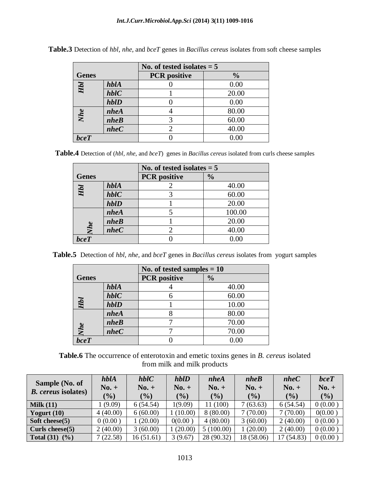|              |        | No. of tested isolates $= 5$ |               |  |
|--------------|--------|------------------------------|---------------|--|
| <b>Genes</b> |        | <b>PCR</b> positive          | $\frac{0}{0}$ |  |
| НЫ           | hblA   |                              | 0.00          |  |
|              | $hblC$ |                              | 20.00         |  |
|              | hbID   |                              | 0.00          |  |
| Nhe          | nheA   |                              | 80.00         |  |
|              | nheB   |                              | 60.00         |  |
|              | nheC   |                              | 40.00         |  |
| bceT         |        |                              | 0.00          |  |

**Table.3** Detection of *hbl, nhe,* and *bceT* genes in *Bacillus cereus* isolates from soft cheese samples

**Table.4** Detection of (*hbl, nhe,* and *bceT*) genes in *Bacillus cereus* isolated from curls cheese samples

|              |        | No. of tested isolates $= 5$ |               |  |
|--------------|--------|------------------------------|---------------|--|
| <b>Genes</b> |        | <b>PCR</b> positive          | $\frac{0}{0}$ |  |
| Hbl          | hblA   |                              | 40.00         |  |
|              | $hblC$ |                              | 60.00         |  |
|              | hbID   |                              | 20.00         |  |
| Nhe          | nheA   |                              | 100.00        |  |
|              | nheB   |                              | 20.00         |  |
|              | nheC   |                              | 40.00         |  |
| bceT         |        |                              | 0.00          |  |

**Table.5** Detection of *hbl, nhe,* and *bceT* genes in *Bacillus cereus* isolates from yogurt samples

|              |        | No. of tested samples $= 10$ |               |  |
|--------------|--------|------------------------------|---------------|--|
| <b>Genes</b> |        | <b>PCR</b> positive          | $\frac{0}{0}$ |  |
| Hbl          | hblA   |                              | 40.00         |  |
|              | $hblC$ |                              | 60.00         |  |
|              | hbID   |                              | 10.00         |  |
| Nhe          | nheA   |                              | 80.00         |  |
|              | nheB   |                              | 70.00         |  |
|              | nheC   |                              | 70.00         |  |
| bceT         |        |                              | 0.00          |  |

**Table.6** The occurrence of enterotoxin and emetic toxins genes in *B. cereus* isolated from milk and milk products

| Sample (No. of<br><b>B.</b> cereus isolates) | hbIA<br>$No. +$<br>(%) | $hblC$<br>$\mathbf{N_0}$ . +<br>(%) | hbD<br>$No. +$<br>$(\%)$ | nheA<br>$No. +$<br>(%) | nheB<br>$No. +$<br>$($ %) | nheC<br>$No. +$<br>(%) | bceT<br>$No. +$<br>(%) |
|----------------------------------------------|------------------------|-------------------------------------|--------------------------|------------------------|---------------------------|------------------------|------------------------|
| Milk $(11)$                                  | (9.09)                 | 6(54.54)                            | 1(9.09)                  | 11 (100)               | 7(63.63)                  | 6(54.54)               | 0(0.00)                |
| Yogurt $(10)$                                | 4(40.00)               | 6(60.00)                            | (10.00)                  | 8(80.00)               | 7(70.00)                  | 7(70.00)               | 0(0.00)                |
| Soft cheese(5)                               | 0(0.00)                | 1(20.00)                            | 0(0.00)                  | 4(80.00)               | 3(60.00)                  | 2(40.00)               | 0(0.00)                |
| Curls cheese $(5)$                           | 2(40.00)               | 3(60.00)                            | (20.00)                  | 5(100.00)              | 1(20.00)                  | 2(40.00)               | 0(0.00)                |
| Total $(31)$<br>$(\%)$                       | 7(22.58)               | 16(51.61)                           | 3(9.67)                  | 28 (90.32)             | 18 (58.06)                | (54.83)<br>17          | 0(0.00)                |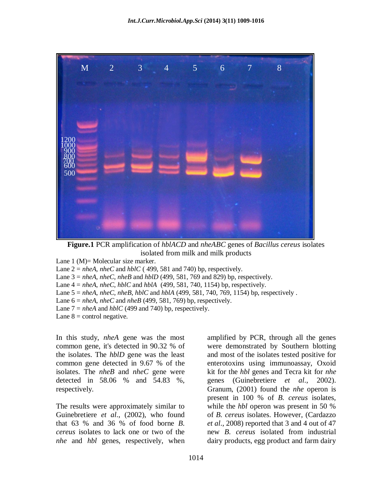

**Figure.1** PCR amplification of *hblACD* and *nheABC* genes of *Bacillus cereus* isolates isolated from milk and milk products

Lane 1 (M)= Molecular size marker.

Lane  $2 = nheA$ ,  $nheC$  and  $hblC$  (499, 581 and 740) bp, respectively.

Lane 3 = *nheA, nheC*, *nheB* and *hblD* (499, 581, 769 and 829) bp, respectively.

Lane 4 = *nheA*, *nheC, hblC* and *hblA* (499, 581, 740, 1154) bp, respectively.

Lane 5 = *nheA*, *nheC, nheB*, *hblC* and *hblA* (499, 581, 740, 769, 1154) bp, respectively .

Lane  $6 = nheA$ ,  $nheC$  and  $nheB$  (499, 581, 769) bp, respectively.

Lane  $7 = nheA$  and  $hblC$  (499 and 740) bp, respectively.

Lane  $8 =$  control negative.

In this study, *nheA* gene was the most common gene, it's detected in 90.32 % of the isolates. The *hblD* gene was the least common gene detected in 9.67 % of the isolates. The *nheB* and *nheC* gene were detected in 58.06 % and 54.83 %, respectively.

The results were approximately similar to Guinebretiere *et al*., (2002), who found that 63 % and 36 % of food borne *B. cereus* isolates to lack one or two of the *nhe* and *hbl* genes, respectively, when

amplified by PCR, through all the genes were demonstrated by Southern blotting and most of the isolates tested positive for enterotoxins using immunoassay, Oxoid kit for the *hbl* genes and Tecra kit for *nhe*  genes (Guinebretiere *et al*., 2002). Granum, (2001) found the *nhe* operon is present in 100 % of *B. cereus* isolates, while the *hbl* operon was present in 50 % of *B. cereus* isolates. However, (Cardazzo *et al*., 2008) reported that 3 and 4 out of 47 new *B. cereus* isolated from industrial dairy products, egg product and farm dairy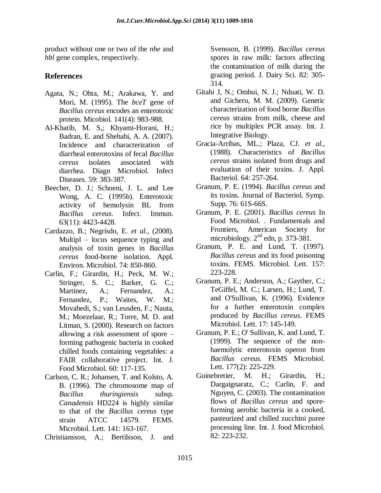product without one or two of the *nhe* and *hbl* gene complex, respectively.

## **References**

- Agata, N.; Ohta, M.; Arakawa, Y. and Mori, M. (1995). The *bceT* gene of *Bacillus cereus* encodes an enterotoxic protein. Micobiol. 141(4): 983-988.
- Al-Khatib, M. S,; Khyami-Horani, H.; Badran, E. and Shehabi, A. A. (2007). Incidence and characterization of diarrheal enterotoxins of fecal *Bacillus cereus* isolates associated with diarrhea. Diagn Microbiol. Infect Diseases. 59: 383-387.
- Beecher, D. J.; Schoeni, J. L. and Lee Wong, A. C. (1995b). Enterotoxic activity of hemolysin BL from *Bacillus cereus*. Infect. Immun. 63(11): 4423-4428.
- Cardazzo, B.; Negrisdo, E. *et al.,* (2008). Multipl – locus sequence typing and analysis of toxin genes in *Bacillus cereus* food-borne isolation. Appl. Environ. Microbiol. 74: 850-860.
- Carlin, F.; Girardin, H.; Peck, M. W.; Stringer, S. C.; Barker, G. C.; Martinez, A.; Fernandez, A.; Fernandez, P.; Waites, W. M.; Movahedi, S.; van Leusden, F.; Nauta, M.; Moezelaar, R.; Torre, M. D. and Litman, S. (2000). Research on factors allowing a risk assessment of spore – forming pathogenic bacteria in cooked chilled foods containing vegetables: a FAIR collaborative project. Int. J. Food Microbiol. 60: 117-135.
- Carlson, C. R.; Johansen, T. and Kolsto, A. B. (1996). The chromosome map of *Bacillus thuringiensis* subsp. *Canadensis* HD224 is highly similar to that of the *Bacillus cereus* type strain ATCC 14579. FEMS. Microbiol. Lett. 141: 163-167.
- Christiansson, A.; Bertilsson, J. and

Svensson, B. (1999). *Bacillus cereus*  spores in raw milk: factors affecting the contamination of milk during the grazing period. J. Dairy Sci. 82: 305- 314.

- Gitahi J, N.; Ombui, N. J.; Nduati, W. D. and Gicheru, M. M. (2009). Genetic characterization of food borne *Bacillus cereus* strains from milk, cheese and rice by multiplex PCR assay. Int. J. Integrative Biology.
- Gracia-Arribas, ML.; Plaza, CJ. *et al.,* (1988). Characteristics of *Bacillus cereus* strains isolated from drugs and evaluation of their toxins. J. Appl. Bacteriol. 64: 257-264.
- Granum, P. E. (1994). *Bacillus cereus* and its toxins. Journal of Bacteriol. Symp. Supp. 76: 61S-66S.
- Granum, P. E. (2001). *Bacillus cereus* In Food Microbiol. . Fundamentals and Frontiers, American Society for microbiology.  $2<sup>nd</sup>$  edn, p. 373-381.
- Granum, P. E. and Lund, T. (1997). *Bacillus cereus* and its food poisoning toxins. FEMS. Microbiol. Lett. 157: 223-228.
- Granum, P. E.; Anderson, A.; Gayther, C.; TeGiffel, M. C.; Larsen, H.; Lund, T. and O'Sullivan, K. (1996). Evidence for a further enterotoxin complex produced by *Bacillus cereus*. FEMS Microbiol. Lett. 17: 145-149.
- Granum, P. E.; O' Sullivan, K. and Lund, T. (1999). The sequence of the nonhaemolytic enterotoxin operon from *Bacillus cereus*. FEMS Microbiol. Lett. 177(2): 225-229.
- Guinebretier, M. H.; Girardin, H.; Dargaignaratz, C.; Carlin, F. and Nguyen, C. (2003). The contamination flows of *Bacillus cereus* and sporeforming aerobic bacteria in a cooked, pasteurized and chilled zucchini puree processing line. Int. J. food Microbiol. 82: 223-232.